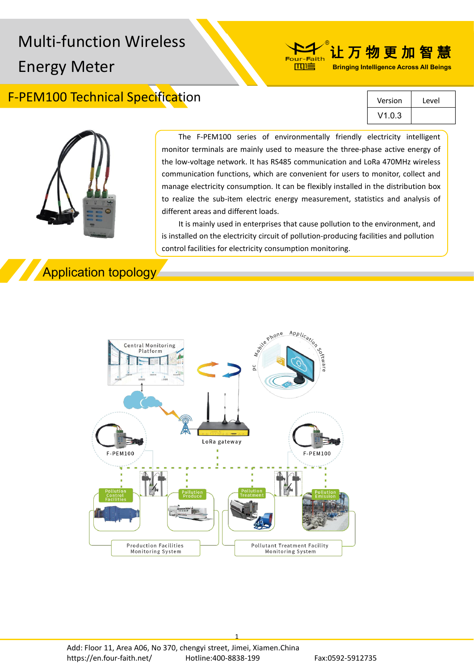# Multi-function Wireless New Pour-Faith 让万物更加智慧 Energy Meter

### F-PEM100 Technical Specification

| Version | Level |  |
|---------|-------|--|
| V1.0.3  |       |  |

**Bringing Intelligence Across All Beings**



The F-PEM100 series of environmentally friendly electricity intelligent monitor terminals are mainly used to measure the three-phase active energy of the low-voltage network. It has RS485 communication and LoRa 470MHz wireless communication functions, which are convenient for users to monitor, collect and manage electricity consumption. It can be flexibly installed in the distribution box to realize the sub-item electric energy measurement, statistics and analysis of different areas and different loads.

而信

It is mainly used in enterprises that cause pollution to the environment, and is installed on the electricity circuit of pollution-producing facilities and pollution control facilities for electricity consumption monitoring.

### Application topology



1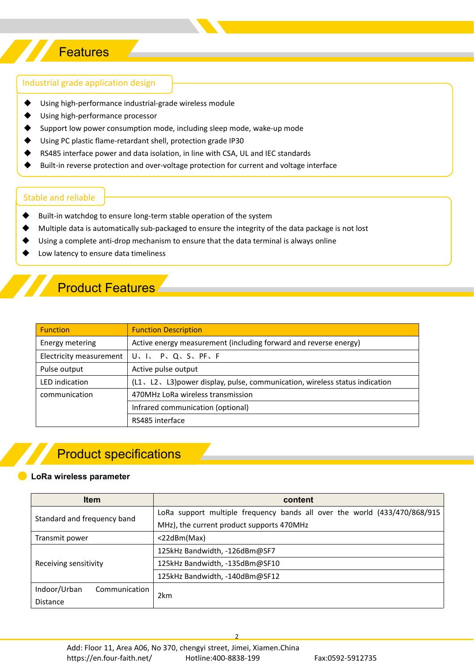## **Features**

#### Industrial grade application design

- ◆ Using high-performance industrial-grade wireless module
- Using high-performance processor
- Support low power consumption mode, including sleep mode, wake-up mode
- Using PC plastic flame-retardant shell, protection grade IP30
- RS485 interface power and data isolation, in line with CSA, UL and IEC standards
- Built-in reverse protection and over-voltage protection for current and voltage interface

#### Stable and reliable

- Built-in watchdog to ensure long-term stable operation of the system
- Multiple data is automatically sub-packaged to ensure the integrity of the data package is not lost
- Using a complete anti-drop mechanism to ensure that the data terminal is always online
- Low latency to ensure data timeliness

### **Product Features**

| <b>Function</b>         | <b>Function Description</b>                                                  |
|-------------------------|------------------------------------------------------------------------------|
| Energy metering         | Active energy measurement (including forward and reverse energy)             |
| Electricity measurement | U. I. P. Q. S. PF. F                                                         |
| Pulse output            | Active pulse output                                                          |
| LED indication          | (L1, L2, L3) power display, pulse, communication, wireless status indication |
| communication           | 470MHz LoRa wireless transmission                                            |
|                         | Infrared communication (optional)                                            |
|                         | RS485 interface                                                              |

### Product specifications

#### **LoRa wireless parameter**

| <b>Item</b><br>content        |                                                                           |  |
|-------------------------------|---------------------------------------------------------------------------|--|
| Standard and frequency band   | LoRa support multiple frequency bands all over the world (433/470/868/915 |  |
|                               | MHz), the current product supports 470MHz                                 |  |
| Transmit power                | <22dBm(Max)                                                               |  |
|                               | 125kHz Bandwidth, -126dBm@SF7                                             |  |
| Receiving sensitivity         | 125kHz Bandwidth, -135dBm@SF10                                            |  |
|                               | 125kHz Bandwidth, -140dBm@SF12                                            |  |
| Indoor/Urban<br>Communication | 2km                                                                       |  |
| <b>Distance</b>               |                                                                           |  |

2 and 2 and 2 and 2 and 2 and 2 and 2 and 2 and 2 and 2 and 2 and 2 and 2 and 2 and 2 and 2 and 2 and 2 and 2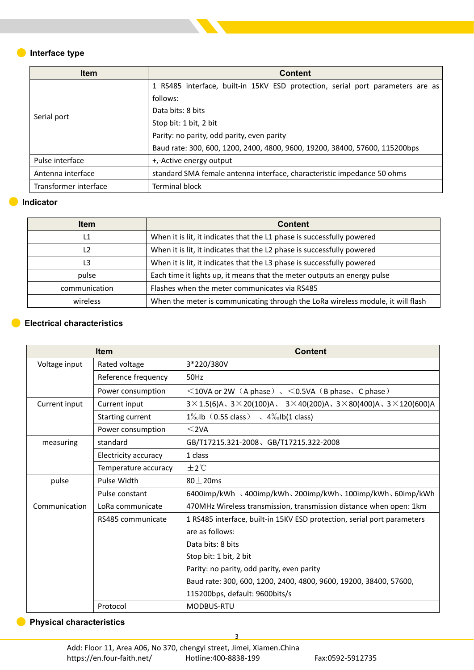### **Interface type**

| <b>Item</b>           | <b>Content</b>                                                                 |  |  |
|-----------------------|--------------------------------------------------------------------------------|--|--|
| Serial port           | 1 RS485 interface, built-in 15KV ESD protection, serial port parameters are as |  |  |
|                       | follows:                                                                       |  |  |
|                       | Data bits: 8 bits                                                              |  |  |
|                       | Stop bit: 1 bit, 2 bit                                                         |  |  |
|                       | Parity: no parity, odd parity, even parity                                     |  |  |
|                       | Baud rate: 300, 600, 1200, 2400, 4800, 9600, 19200, 38400, 57600, 115200bps    |  |  |
| Pulse interface       | +,-Active energy output                                                        |  |  |
| Antenna interface     | standard SMA female antenna interface, characteristic impedance 50 ohms        |  |  |
| Transformer interface | <b>Terminal block</b>                                                          |  |  |

#### **Indicator**  $\bullet$

C

| <b>Item</b>   | <b>Content</b>                                                                  |  |
|---------------|---------------------------------------------------------------------------------|--|
|               | When it is lit, it indicates that the L1 phase is successfully powered          |  |
|               | When it is lit, it indicates that the L2 phase is successfully powered          |  |
|               | When it is lit, it indicates that the L3 phase is successfully powered          |  |
| pulse         | Each time it lights up, it means that the meter outputs an energy pulse         |  |
| communication | Flashes when the meter communicates via RS485                                   |  |
| wireless      | When the meter is communicating through the LoRa wireless module, it will flash |  |

#### **Electrical characteristics**

|                                | <b>Item</b>          | <b>Content</b>                                                                                               |
|--------------------------------|----------------------|--------------------------------------------------------------------------------------------------------------|
| Voltage input                  | Rated voltage        | 3*220/380V                                                                                                   |
|                                | Reference frequency  | 50Hz                                                                                                         |
|                                | Power consumption    | $\leq$ 10VA or 2W (A phase), $\leq$ 0.5VA (B phase, C phase)                                                 |
| Current input<br>Current input |                      | $3 \times 1.5(6)$ A、 $3 \times 20(100)$ A、 $3 \times 40(200)$ A、 $3 \times 80(400)$ A、 $3 \times 120(600)$ A |
|                                | Starting current     | $1\%$ <sub>0</sub> lb (0.5S class) $\sqrt{4\%}$ <sub>0</sub> lb(1 class)                                     |
|                                | Power consumption    | $<$ 2VA                                                                                                      |
| measuring                      | standard             | GB/T17215.321-2008、GB/T17215.322-2008                                                                        |
|                                | Electricity accuracy | 1 class                                                                                                      |
|                                | Temperature accuracy | ±2°C                                                                                                         |
| pulse                          | Pulse Width          | $80 \pm 20$ ms                                                                                               |
|                                | Pulse constant       | 6400imp/kWh 、400imp/kWh、200imp/kWh、100imp/kWh、60imp/kWh                                                      |
| Communication                  | LoRa communicate     | 470MHz Wireless transmission, transmission distance when open: 1km                                           |
|                                | RS485 communicate    | 1 RS485 interface, built-in 15KV ESD protection, serial port parameters                                      |
|                                |                      | are as follows:                                                                                              |
|                                |                      | Data bits: 8 bits                                                                                            |
|                                |                      | Stop bit: 1 bit, 2 bit                                                                                       |
|                                |                      | Parity: no parity, odd parity, even parity                                                                   |
|                                |                      | Baud rate: 300, 600, 1200, 2400, 4800, 9600, 19200, 38400, 57600,                                            |
|                                |                      | 115200bps, default: 9600bits/s                                                                               |
|                                | Protocol             | <b>MODBUS-RTU</b>                                                                                            |

3

#### **Physical characteristics**